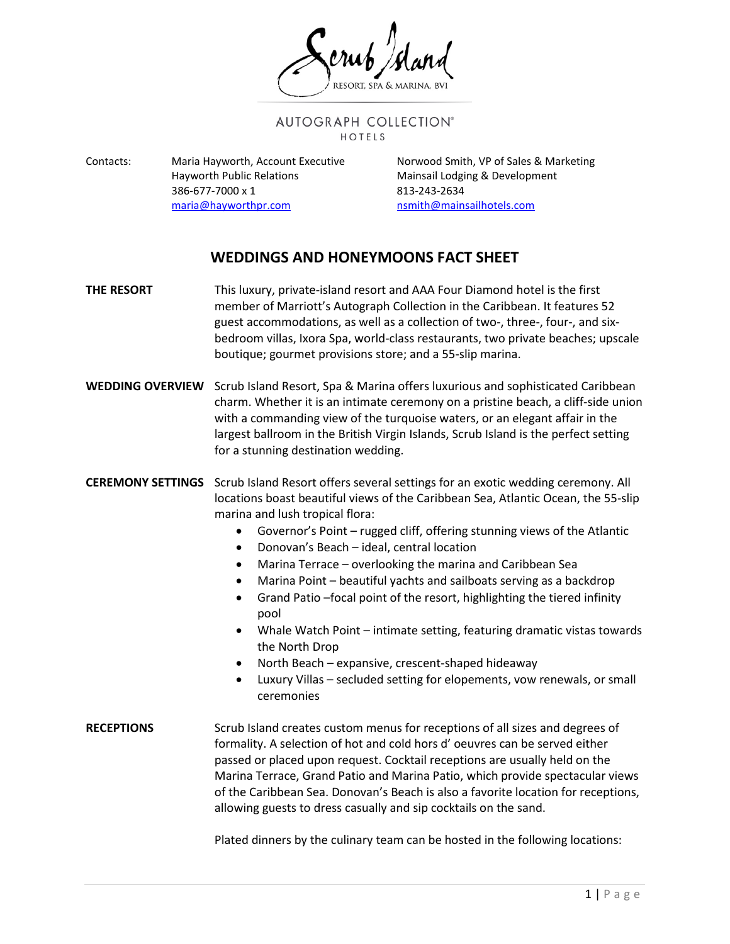## AUTOGRAPH COLLECTION® HOTELS

Contacts: Maria Hayworth, Account Executive Norwood Smith, VP of Sales & Marketing Hayworth Public Relations **Mainsail Lodging & Development** 386-677-7000 x 1 813-243-2634 [maria@hayworthpr.com](mailto:maria@hayworthpr.com) [nsmith@mainsailhotels.com](mailto:nsmith@mainsailhotels.com)

## **WEDDINGS AND HONEYMOONS FACT SHEET**

- **THE RESORT** This luxury, private-island resort and AAA Four Diamond hotel is the first member of Marriott's Autograph Collection in the Caribbean. It features 52 guest accommodations, as well as a collection of two-, three-, four-, and sixbedroom villas, Ixora Spa, world-class restaurants, two private beaches; upscale boutique; gourmet provisions store; and a 55-slip marina.
- **WEDDING OVERVIEW** Scrub Island Resort, Spa & Marina offers luxurious and sophisticated Caribbean charm. Whether it is an intimate ceremony on a pristine beach, a cliff-side union with a commanding view of the turquoise waters, or an elegant affair in the largest ballroom in the British Virgin Islands, Scrub Island is the perfect setting for a stunning destination wedding.

**CEREMONY SETTINGS** Scrub Island Resort offers several settings for an exotic wedding ceremony. All locations boast beautiful views of the Caribbean Sea, Atlantic Ocean, the 55-slip marina and lush tropical flora:

- Governor's Point rugged cliff, offering stunning views of the Atlantic
- Donovan's Beach ideal, central location
- Marina Terrace overlooking the marina and Caribbean Sea
- Marina Point beautiful yachts and sailboats serving as a backdrop
- Grand Patio –focal point of the resort, highlighting the tiered infinity pool
- Whale Watch Point intimate setting, featuring dramatic vistas towards the North Drop
- North Beach expansive, crescent-shaped hideaway
- Luxury Villas secluded setting for elopements, vow renewals, or small ceremonies
- **RECEPTIONS** Scrub Island creates custom menus for receptions of all sizes and degrees of formality. A selection of hot and cold hors d' oeuvres can be served either passed or placed upon request. Cocktail receptions are usually held on the Marina Terrace, Grand Patio and Marina Patio, which provide spectacular views of the Caribbean Sea. Donovan's Beach is also a favorite location for receptions, allowing guests to dress casually and sip cocktails on the sand.

Plated dinners by the culinary team can be hosted in the following locations: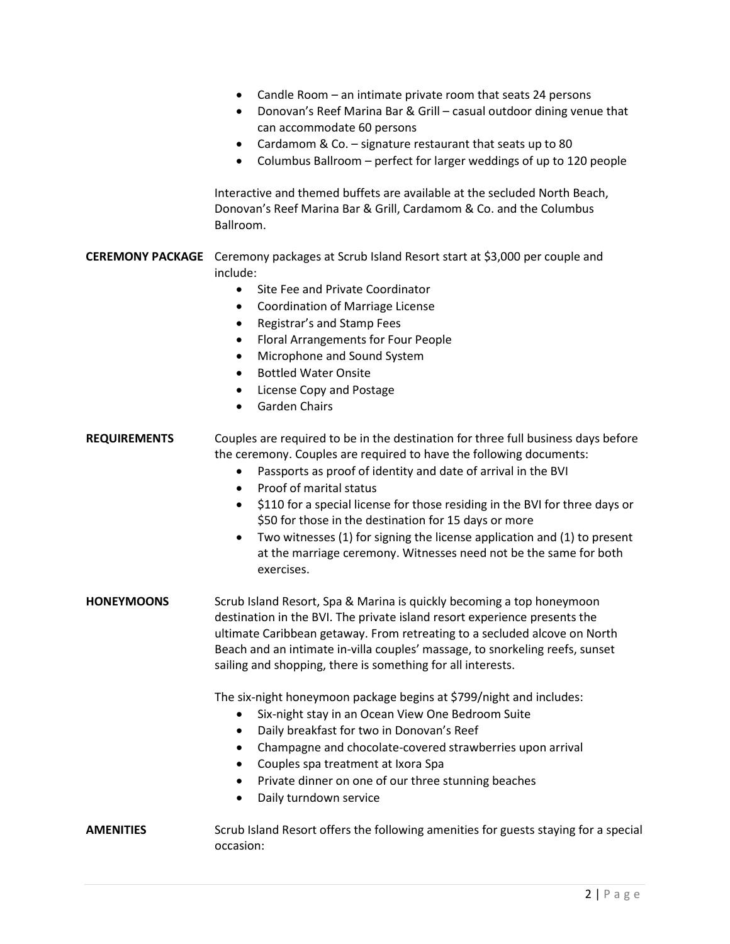- Candle Room an intimate private room that seats 24 persons • Donovan's Reef Marina Bar & Grill – casual outdoor dining venue that can accommodate 60 persons • Cardamom & Co. – signature restaurant that seats up to 80 • Columbus Ballroom – perfect for larger weddings of up to 120 people Interactive and themed buffets are available at the secluded North Beach, Donovan's Reef Marina Bar & Grill, Cardamom & Co. and the Columbus Ballroom. **CEREMONY PACKAGE** Ceremony packages at Scrub Island Resort start at \$3,000 per couple and include: • Site Fee and Private Coordinator • Coordination of Marriage License • Registrar's and Stamp Fees • Floral Arrangements for Four People • Microphone and Sound System • Bottled Water Onsite • License Copy and Postage Garden Chairs **REQUIREMENTS** Couples are required to be in the destination for three full business days before the ceremony. Couples are required to have the following documents: • Passports as proof of identity and date of arrival in the BVI • Proof of marital status • \$110 for a special license for those residing in the BVI for three days or \$50 for those in the destination for 15 days or more • Two witnesses (1) for signing the license application and (1) to present at the marriage ceremony. Witnesses need not be the same for both exercises. **HONEYMOONS** Scrub Island Resort, Spa & Marina is quickly becoming a top honeymoon destination in the BVI. The private island resort experience presents the ultimate Caribbean getaway. From retreating to a secluded alcove on North Beach and an intimate in-villa couples' massage, to snorkeling reefs, sunset sailing and shopping, there is something for all interests. The six-night honeymoon package begins at \$799/night and includes: • Six-night stay in an Ocean View One Bedroom Suite • Daily breakfast for two in Donovan's Reef • Champagne and chocolate-covered strawberries upon arrival • Couples spa treatment at Ixora Spa • Private dinner on one of our three stunning beaches
	- Daily turndown service
- **AMENITIES** Scrub Island Resort offers the following amenities for guests staying for a special occasion: